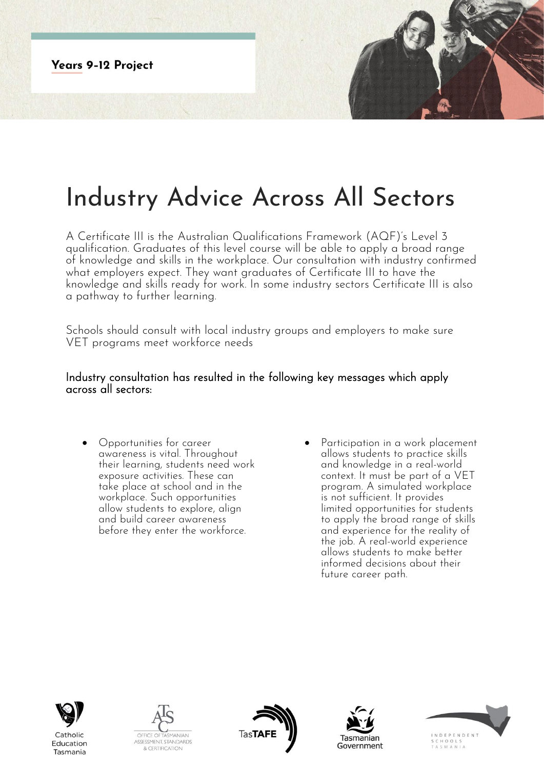**Years 9-12 Project** 



## Industry Advice Across All Sectors

A Certificate III is the Australian Qualifications Framework (AQF)'s Level 3 qualification. Graduates of this level course will be able to apply a broad range of knowledge and skills in the workplace. Our consultation with industry confirmed what employers expect. They want graduates of Certificate III to have the knowledge and skills ready for work. In some industry sectors Certificate III is also a pathway to further learning.

Schools should consult with local industry groups and employers to make sure VET programs meet workforce needs

## Industry consultation has resulted in the following key messages which apply across all sectors:

- Opportunities for career awareness is vital. Throughout their learning, students need work exposure activities. These can take place at school and in the workplace. Such opportunities allow students to explore, align and build career awareness before they enter the workforce.
- Participation in a work placement allows students to practice skills and knowledge in a real-world context. It must be part of a VET program. A simulated workplace is not sufficient. It provides limited opportunities for students to apply the broad range of skills and experience for the reality of the job. A real-world experience allows students to make better informed decisions about their future career path.